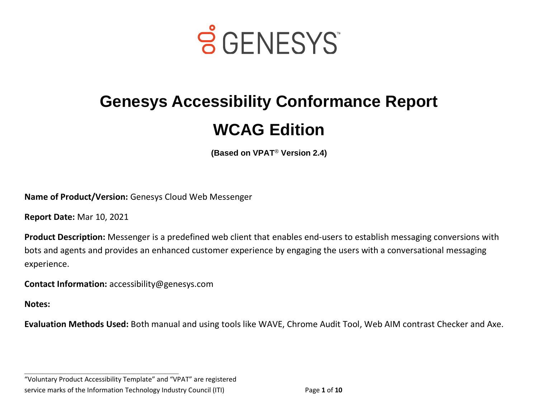

# **Genesys Accessibility Conformance Report WCAG Edition**

**(Based on VPAT**® **Version 2.4)**

**Name of Product/Version:** Genesys Cloud Web Messenger

**Report Date:** Mar 10, 2021

**Product Description:** Messenger is a predefined web client that enables end-users to establish messaging conversions with bots and agents and provides an enhanced customer experience by engaging the users with a conversational messaging experience.

**Contact Information:** accessibility@genesys.com

**Notes:** 

**Evaluation Methods Used:** Both manual and using tools like WAVE, Chrome Audit Tool, Web AIM contrast Checker and Axe.

"Voluntary Product Accessibility Template" and "VPAT" are registered service marks of the Information Technology Industry Council (ITI) Page **1** of **10**

**\_\_\_\_\_\_\_\_\_\_\_\_\_\_\_\_\_\_\_\_\_\_\_\_\_\_\_\_\_\_\_\_\_\_**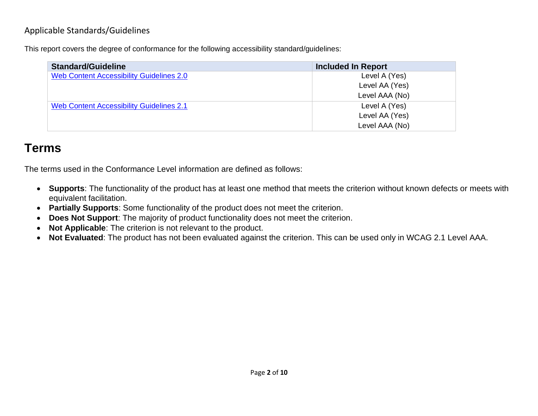#### Applicable Standards/Guidelines

This report covers the degree of conformance for the following accessibility standard/guidelines:

| <b>Standard/Guideline</b>                       | <b>Included In Report</b> |
|-------------------------------------------------|---------------------------|
| Web Content Accessibility Guidelines 2.0        | Level A (Yes)             |
|                                                 | Level AA (Yes)            |
|                                                 | Level AAA (No)            |
| <b>Web Content Accessibility Guidelines 2.1</b> | Level A (Yes)             |
|                                                 | Level AA (Yes)            |
|                                                 | Level AAA (No)            |

# **Terms**

The terms used in the Conformance Level information are defined as follows:

- **Supports**: The functionality of the product has at least one method that meets the criterion without known defects or meets with equivalent facilitation.
- **Partially Supports**: Some functionality of the product does not meet the criterion.
- **Does Not Support**: The majority of product functionality does not meet the criterion.
- **Not Applicable**: The criterion is not relevant to the product.
- **Not Evaluated**: The product has not been evaluated against the criterion. This can be used only in WCAG 2.1 Level AAA.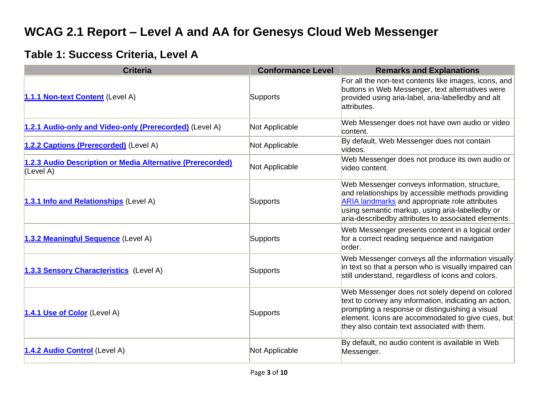# **WCAG 2.1 Report – Level A and AA for Genesys Cloud Web Messenger**

#### **Table 1: Success Criteria, Level A**

| <b>Criteria</b>                                                         | <b>Conformance Level</b> | <b>Remarks and Explanations</b>                                                                                                                                                                                                                                       |
|-------------------------------------------------------------------------|--------------------------|-----------------------------------------------------------------------------------------------------------------------------------------------------------------------------------------------------------------------------------------------------------------------|
| 1.1.1 Non-text Content (Level A)                                        | Supports                 | For all the non-text contents like images, icons, and<br>buttons in Web Messenger, text alternatives were<br>provided using aria-label, aria-labelledby and alt<br>attributes.                                                                                        |
| 1.2.1 Audio-only and Video-only (Prerecorded) (Level A)                 | Not Applicable           | Web Messenger does not have own audio or video<br>content.                                                                                                                                                                                                            |
| 1.2.2 Captions (Prerecorded) (Level A)                                  | Not Applicable           | By default, Web Messenger does not contain<br>videos.                                                                                                                                                                                                                 |
| 1.2.3 Audio Description or Media Alternative (Prerecorded)<br>(Level A) | Not Applicable           | Web Messenger does not produce its own audio or<br>video content.                                                                                                                                                                                                     |
| 1.3.1 Info and Relationships (Level A)                                  | Supports                 | Web Messenger conveys information, structure,<br>and relationships by accessible methods providing<br><b>ARIA landmarks and appropriate role attributes</b><br>using semantic markup, using aria-labelledby or<br>aria-describedby attributes to associated elements. |
| 1.3.2 Meaningful Sequence (Level A)                                     | Supports                 | Web Messenger presents content in a logical order<br>for a correct reading sequence and navigation<br>lorder.                                                                                                                                                         |
| 1.3.3 Sensory Characteristics (Level A)                                 | Supports                 | Web Messenger conveys all the information visually<br>in text so that a person who is visually impaired can<br>still understand, regardless of icons and colors.                                                                                                      |
| 1.4.1 Use of Color (Level A)                                            | Supports                 | Web Messenger does not solely depend on colored<br>text to convey any information, indicating an action,<br>prompting a response or distinguishing a visual<br>element. Icons are accommodated to give cues, but<br>they also contain text associated with them.      |
| 1.4.2 Audio Control (Level A)                                           | Not Applicable           | By default, no audio content is available in Web<br>Messenger.                                                                                                                                                                                                        |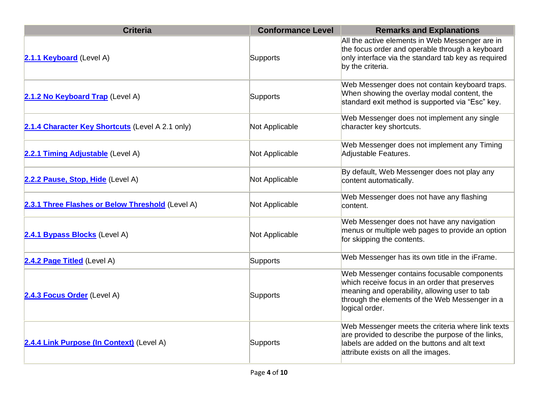| <b>Criteria</b>                                  | <b>Conformance Level</b> | <b>Remarks and Explanations</b>                                                                                                                                                                                    |
|--------------------------------------------------|--------------------------|--------------------------------------------------------------------------------------------------------------------------------------------------------------------------------------------------------------------|
| 2.1.1 Keyboard (Level A)                         | Supports                 | All the active elements in Web Messenger are in<br>the focus order and operable through a keyboard<br>only interface via the standard tab key as required<br>by the criteria.                                      |
| 2.1.2 No Keyboard Trap (Level A)                 | Supports                 | Web Messenger does not contain keyboard traps.<br>When showing the overlay modal content, the<br>standard exit method is supported via "Esc" key.                                                                  |
| 2.1.4 Character Key Shortcuts (Level A 2.1 only) | Not Applicable           | Web Messenger does not implement any single<br>character key shortcuts.                                                                                                                                            |
| 2.2.1 Timing Adjustable (Level A)                | Not Applicable           | Web Messenger does not implement any Timing<br>Adjustable Features.                                                                                                                                                |
| 2.2.2 Pause, Stop, Hide (Level A)                | Not Applicable           | By default, Web Messenger does not play any<br>content automatically.                                                                                                                                              |
| 2.3.1 Three Flashes or Below Threshold (Level A) | Not Applicable           | Web Messenger does not have any flashing<br>content.                                                                                                                                                               |
| 2.4.1 Bypass Blocks (Level A)                    | Not Applicable           | Web Messenger does not have any navigation<br>menus or multiple web pages to provide an option<br>for skipping the contents.                                                                                       |
| 2.4.2 Page Titled (Level A)                      | Supports                 | Web Messenger has its own title in the iFrame.                                                                                                                                                                     |
| 2.4.3 Focus Order (Level A)                      | Supports                 | Web Messenger contains focusable components<br>which receive focus in an order that preserves<br>meaning and operability, allowing user to tab<br>through the elements of the Web Messenger in a<br>logical order. |
| 2.4.4 Link Purpose (In Context) (Level A)        | Supports                 | Web Messenger meets the criteria where link texts<br>are provided to describe the purpose of the links,<br>labels are added on the buttons and alt text<br>attribute exists on all the images.                     |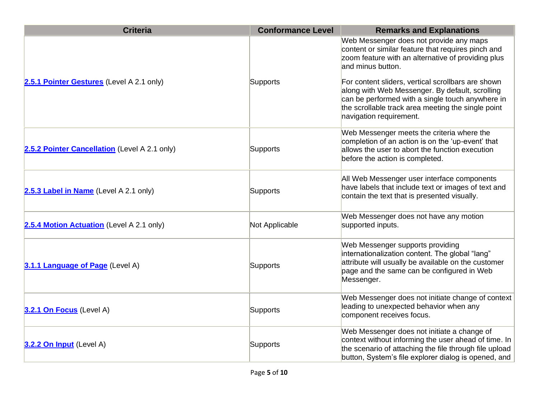| <b>Criteria</b>                               | <b>Conformance Level</b> | <b>Remarks and Explanations</b>                                                                                                                                                                                                                                                                                                                                                                                        |
|-----------------------------------------------|--------------------------|------------------------------------------------------------------------------------------------------------------------------------------------------------------------------------------------------------------------------------------------------------------------------------------------------------------------------------------------------------------------------------------------------------------------|
| 2.5.1 Pointer Gestures (Level A 2.1 only)     | <b>Supports</b>          | Web Messenger does not provide any maps<br>content or similar feature that requires pinch and<br>zoom feature with an alternative of providing plus<br>and minus button.<br>For content sliders, vertical scrollbars are shown<br>along with Web Messenger. By default, scrolling<br>can be performed with a single touch anywhere in<br>the scrollable track area meeting the single point<br>navigation requirement. |
| 2.5.2 Pointer Cancellation (Level A 2.1 only) | <b>Supports</b>          | Web Messenger meets the criteria where the<br>completion of an action is on the 'up-event' that<br>allows the user to abort the function execution<br>before the action is completed.                                                                                                                                                                                                                                  |
| 2.5.3 Label in Name (Level A 2.1 only)        | Supports                 | All Web Messenger user interface components<br>have labels that include text or images of text and<br>contain the text that is presented visually.                                                                                                                                                                                                                                                                     |
| 2.5.4 Motion Actuation (Level A 2.1 only)     | Not Applicable           | Web Messenger does not have any motion<br>supported inputs.                                                                                                                                                                                                                                                                                                                                                            |
| 3.1.1 Language of Page (Level A)              | Supports                 | Web Messenger supports providing<br>internationalization content. The global "lang"<br>attribute will usually be available on the customer<br>page and the same can be configured in Web<br>Messenger.                                                                                                                                                                                                                 |
| 3.2.1 On Focus (Level A)                      | Supports                 | Web Messenger does not initiate change of context<br>leading to unexpected behavior when any<br>component receives focus.                                                                                                                                                                                                                                                                                              |
| 3.2.2 On Input (Level A)                      | Supports                 | Web Messenger does not initiate a change of<br>context without informing the user ahead of time. In<br>the scenario of attaching the file through file upload<br>button, System's file explorer dialog is opened, and                                                                                                                                                                                                  |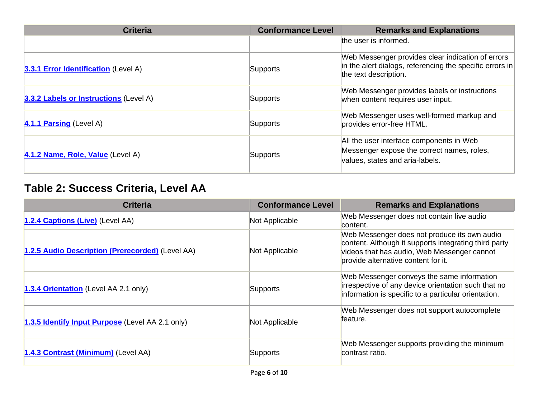| <b>Criteria</b>                               | <b>Conformance Level</b> | <b>Remarks and Explanations</b>                                                                                                        |
|-----------------------------------------------|--------------------------|----------------------------------------------------------------------------------------------------------------------------------------|
|                                               |                          | the user is informed.                                                                                                                  |
| 3.3.1 Error Identification (Level A)          | Supports                 | Web Messenger provides clear indication of errors<br>in the alert dialogs, referencing the specific errors in<br>the text description. |
| <b>3.3.2 Labels or Instructions (Level A)</b> | Supports                 | Web Messenger provides labels or instructions<br>when content requires user input.                                                     |
| 4.1.1 Parsing (Level A)                       | Supports                 | Web Messenger uses well-formed markup and<br>provides error-free HTML.                                                                 |
| 4.1.2 Name, Role, Value (Level A)             | <b>Supports</b>          | All the user interface components in Web<br>Messenger expose the correct names, roles,<br>values, states and aria-labels.              |

### **Table 2: Success Criteria, Level AA**

| <b>Criteria</b>                                  | <b>Conformance Level</b> | <b>Remarks and Explanations</b>                                                                                                                                                             |
|--------------------------------------------------|--------------------------|---------------------------------------------------------------------------------------------------------------------------------------------------------------------------------------------|
| 1.2.4 Captions (Live) (Level AA)                 | Not Applicable           | Web Messenger does not contain live audio<br>lcontent.                                                                                                                                      |
| 1.2.5 Audio Description (Prerecorded) (Level AA) | Not Applicable           | Web Messenger does not produce its own audio<br>content. Although it supports integrating third party<br>videos that has audio, Web Messenger cannot<br>provide alternative content for it. |
| 1.3.4 Orientation (Level AA 2.1 only)            | Supports                 | Web Messenger conveys the same information<br>irrespective of any device orientation such that no<br>information is specific to a particular orientation.                                   |
| 1.3.5 Identify Input Purpose (Level AA 2.1 only) | Not Applicable           | Web Messenger does not support autocomplete<br>lfeature.                                                                                                                                    |
| 1.4.3 Contrast (Minimum) (Level AA)              | Supports                 | Web Messenger supports providing the minimum<br>contrast ratio.                                                                                                                             |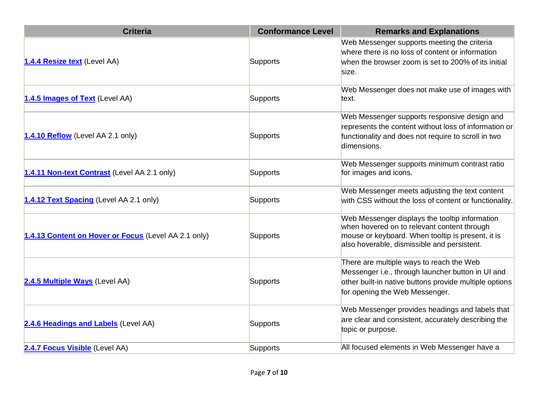| <b>Criteria</b>                                      | <b>Conformance Level</b> | <b>Remarks and Explanations</b>                                                                                                                                                                   |
|------------------------------------------------------|--------------------------|---------------------------------------------------------------------------------------------------------------------------------------------------------------------------------------------------|
| 1.4.4 Resize text (Level AA)                         | Supports                 | Web Messenger supports meeting the criteria<br>where there is no loss of content or information<br>when the browser zoom is set to 200% of its initial<br>size.                                   |
| 1.4.5 Images of Text (Level AA)                      | <b>Supports</b>          | Web Messenger does not make use of images with<br>text.                                                                                                                                           |
| 1.4.10 Reflow (Level AA 2.1 only)                    | Supports                 | Web Messenger supports responsive design and<br>represents the content without loss of information or<br>functionality and does not require to scroll in two<br>dimensions.                       |
| 1.4.11 Non-text Contrast (Level AA 2.1 only)         | <b>Supports</b>          | Web Messenger supports minimum contrast ratio<br>for images and icons.                                                                                                                            |
| 1.4.12 Text Spacing (Level AA 2.1 only)              | Supports                 | Web Messenger meets adjusting the text content<br>with CSS without the loss of content or functionality.                                                                                          |
| 1.4.13 Content on Hover or Focus (Level AA 2.1 only) | Supports                 | Web Messenger displays the tooltip information<br>when hovered on to relevant content through<br>mouse or keyboard. When tooltip is present, it is<br>also hoverable, dismissible and persistent. |
| 2.4.5 Multiple Ways (Level AA)                       | Supports                 | There are multiple ways to reach the Web<br>Messenger i.e., through launcher button in UI and<br>other built-in native buttons provide multiple options<br>for opening the Web Messenger.         |
| 2.4.6 Headings and Labels (Level AA)                 | Supports                 | Web Messenger provides headings and labels that<br>are clear and consistent, accurately describing the<br>topic or purpose.                                                                       |
| 2.4.7 Focus Visible (Level AA)                       | Supports                 | All focused elements in Web Messenger have a                                                                                                                                                      |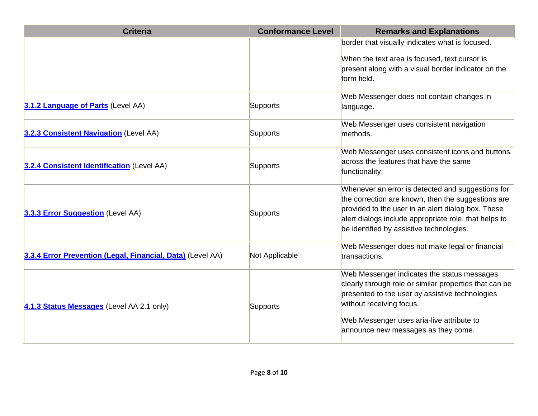| <b>Criteria</b>                                            | <b>Conformance Level</b> | <b>Remarks and Explanations</b>                                                                          |
|------------------------------------------------------------|--------------------------|----------------------------------------------------------------------------------------------------------|
|                                                            |                          | border that visually indicates what is focused.                                                          |
|                                                            |                          | When the text area is focused, text cursor is                                                            |
|                                                            |                          | present along with a visual border indicator on the<br>form field.                                       |
|                                                            |                          |                                                                                                          |
|                                                            |                          | Web Messenger does not contain changes in                                                                |
| 3.1.2 Language of Parts (Level AA)                         | Supports                 | language.                                                                                                |
|                                                            |                          | Web Messenger uses consistent navigation                                                                 |
| 3.2.3 Consistent Navigation (Level AA)                     | <b>Supports</b>          | methods.                                                                                                 |
|                                                            |                          | Web Messenger uses consistent icons and buttons                                                          |
| 3.2.4 Consistent Identification (Level AA)                 | Supports                 | across the features that have the same                                                                   |
|                                                            |                          | functionality.                                                                                           |
|                                                            |                          | Whenever an error is detected and suggestions for                                                        |
|                                                            |                          | the correction are known, then the suggestions are<br>provided to the user in an alert dialog box. These |
| 3.3.3 Error Suggestion (Level AA)                          | Supports                 | alert dialogs include appropriate role, that helps to                                                    |
|                                                            |                          | be identified by assistive technologies.                                                                 |
|                                                            |                          | Web Messenger does not make legal or financial                                                           |
| 3.3.4 Error Prevention (Legal, Financial, Data) (Level AA) | Not Applicable           | transactions.                                                                                            |
|                                                            |                          | Web Messenger indicates the status messages                                                              |
|                                                            |                          | clearly through role or similar properties that can be                                                   |
| 4.1.3 Status Messages (Level AA 2.1 only)                  |                          | presented to the user by assistive technologies<br>without receiving focus.                              |
|                                                            | Supports                 |                                                                                                          |
|                                                            |                          | Web Messenger uses aria-live attribute to<br>announce new messages as they come.                         |
|                                                            |                          |                                                                                                          |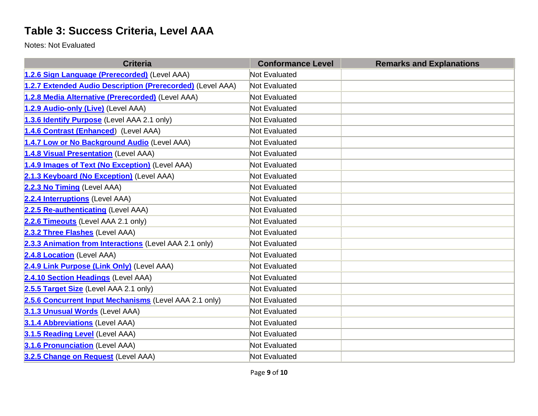### **Table 3: Success Criteria, Level AAA**

Notes: Not Evaluated

| <b>Criteria</b>                                            | <b>Conformance Level</b> | <b>Remarks and Explanations</b> |
|------------------------------------------------------------|--------------------------|---------------------------------|
| 1.2.6 Sign Language (Prerecorded) (Level AAA)              | <b>Not Evaluated</b>     |                                 |
| 1.2.7 Extended Audio Description (Prerecorded) (Level AAA) | Not Evaluated            |                                 |
| 1.2.8 Media Alternative (Prerecorded) (Level AAA)          | Not Evaluated            |                                 |
| 1.2.9 Audio-only (Live) (Level AAA)                        | <b>Not Evaluated</b>     |                                 |
| 1.3.6 Identify Purpose (Level AAA 2.1 only)                | <b>Not Evaluated</b>     |                                 |
| 1.4.6 Contrast (Enhanced) (Level AAA)                      | <b>Not Evaluated</b>     |                                 |
| 1.4.7 Low or No Background Audio (Level AAA)               | Not Evaluated            |                                 |
| 1.4.8 Visual Presentation (Level AAA)                      | Not Evaluated            |                                 |
| 1.4.9 Images of Text (No Exception) (Level AAA)            | <b>Not Evaluated</b>     |                                 |
| 2.1.3 Keyboard (No Exception) (Level AAA)                  | <b>Not Evaluated</b>     |                                 |
| 2.2.3 No Timing (Level AAA)                                | Not Evaluated            |                                 |
| 2.2.4 Interruptions (Level AAA)                            | Not Evaluated            |                                 |
| 2.2.5 Re-authenticating (Level AAA)                        | <b>Not Evaluated</b>     |                                 |
| 2.2.6 Timeouts (Level AAA 2.1 only)                        | <b>Not Evaluated</b>     |                                 |
| 2.3.2 Three Flashes (Level AAA)                            | Not Evaluated            |                                 |
| 2.3.3 Animation from Interactions (Level AAA 2.1 only)     | Not Evaluated            |                                 |
| 2.4.8 Location (Level AAA)                                 | <b>Not Evaluated</b>     |                                 |
| 2.4.9 Link Purpose (Link Only) (Level AAA)                 | <b>Not Evaluated</b>     |                                 |
| 2.4.10 Section Headings (Level AAA)                        | <b>Not Evaluated</b>     |                                 |
| 2.5.5 Target Size (Level AAA 2.1 only)                     | Not Evaluated            |                                 |
| 2.5.6 Concurrent Input Mechanisms (Level AAA 2.1 only)     | <b>Not Evaluated</b>     |                                 |
| 3.1.3 Unusual Words (Level AAA)                            | <b>Not Evaluated</b>     |                                 |
| 3.1.4 Abbreviations (Level AAA)                            | <b>Not Evaluated</b>     |                                 |
| 3.1.5 Reading Level (Level AAA)                            | Not Evaluated            |                                 |
| 3.1.6 Pronunciation (Level AAA)                            | Not Evaluated            |                                 |
| 3.2.5 Change on Request (Level AAA)                        | Not Evaluated            |                                 |